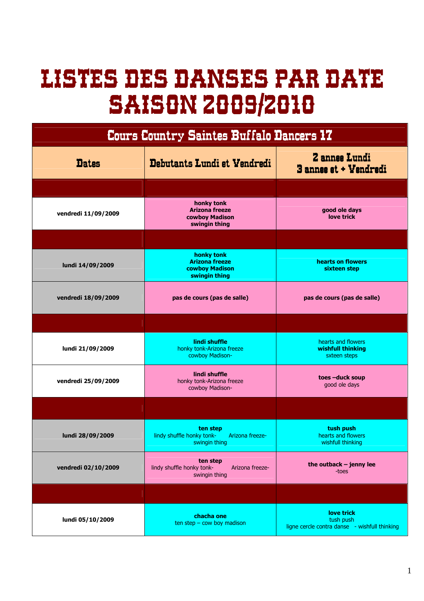## LISTES DES DANSES PAR DATE DATE SAISON 2009/2010

| Cours Country Saintes Buffalo Dancers 17 |                                                                           |                                                                          |  |
|------------------------------------------|---------------------------------------------------------------------------|--------------------------------------------------------------------------|--|
| <b>Dates</b>                             | Debutants Lundi et Vendredi                                               | <b>Z</b> annee Lundi<br>3 annee et + Vendredi                            |  |
|                                          |                                                                           |                                                                          |  |
| vendredi 11/09/2009                      | honky tonk<br><b>Arizona freeze</b><br>cowbov Madison<br>swingin thing    | good ole days<br>love trick                                              |  |
|                                          |                                                                           |                                                                          |  |
| lundi 14/09/2009                         | honky tonk<br><b>Arizona freeze</b><br>cowboy Madison<br>swingin thing    | hearts on flowers<br>sixteen step                                        |  |
| vendredi 18/09/2009                      | pas de cours (pas de salle)                                               | pas de cours (pas de salle)                                              |  |
|                                          |                                                                           |                                                                          |  |
| lundi 21/09/2009                         | lindi shuffle<br>honky tonk-Arizona freeze<br>cowboy Madison-             | hearts and flowers<br>wishfull thinking<br>sxteen steps                  |  |
| vendredi 25/09/2009                      | lindi shuffle<br>honky tonk-Arizona freeze<br>cowboy Madison-             | toes-duck soup<br>good ole days                                          |  |
|                                          |                                                                           |                                                                          |  |
| lundi 28/09/2009                         | ten step<br>Arizona freeze-<br>lindy shuffle honky tonk-<br>swingin thing | tush push<br>hearts and flowers<br>wishfull thinking                     |  |
| vendredi 02/10/2009                      | ten step<br>lindy shuffle honky tonk-<br>Arizona freeze-<br>swingin thing | the outback $-$ jenny lee<br>-toes                                       |  |
|                                          |                                                                           |                                                                          |  |
| lundi 05/10/2009                         | chacha one<br>$ten step - cow boy madison$                                | love trick<br>tush push<br>ligne cercle contra danse - wishfull thinking |  |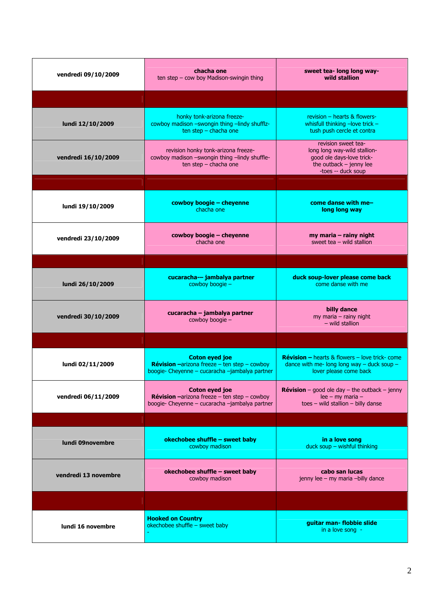| vendredi 09/10/2009  | chacha one<br>ten step - cow boy Madison-swingin thing                                                                         | sweet tea- long long way-<br>wild stallion                                                                                            |
|----------------------|--------------------------------------------------------------------------------------------------------------------------------|---------------------------------------------------------------------------------------------------------------------------------------|
|                      |                                                                                                                                |                                                                                                                                       |
| lundi 12/10/2009     | honky tonk-arizona freeze-<br>cowboy madison -swongin thing -lindy shufflz-<br>ten step - chacha one                           | revision - hearts & flowers-<br>whisfull thinking $-$ love trick $-$<br>tush push cercle et contra                                    |
| vendredi 16/10/2009  | revision honky tonk-arizona freeze-<br>cowboy madison -swongin thing -lindy shuffle-<br>ten step - chacha one                  | revision sweet tea-<br>long long way-wild stallion-<br>good ole days-love trick-<br>the outback $-$ jenny lee<br>-toes -- duck soup   |
|                      |                                                                                                                                |                                                                                                                                       |
| lundi 19/10/2009     | cowboy boogie - cheyenne<br>chacha one                                                                                         | come danse with me-<br>long long way                                                                                                  |
| vendredi 23/10/2009  | cowboy boogie - cheyenne<br>chacha one                                                                                         | my maria - rainy night<br>sweet tea $-$ wild stallion                                                                                 |
|                      |                                                                                                                                |                                                                                                                                       |
| lundi 26/10/2009     | cucaracha-- jambalya partner<br>cowboy boogie -                                                                                | duck soup-lover please come back<br>come danse with me                                                                                |
| vendredi 30/10/2009  | cucaracha - jambalya partner<br>cowboy boogie -                                                                                | billy dance<br>my maria - rainy night<br>$-$ wild stallion                                                                            |
|                      |                                                                                                                                |                                                                                                                                       |
| lundi 02/11/2009     | <b>Coton eyed joe</b><br><b>Révision</b> -arizona freeze - ten step - cowboy<br>boogie- Cheyenne - cucaracha -jambalya partner | <b>Révision – hearts &amp; flowers – love trick- come</b><br>dance with me- long long way $-$ duck soup $-$<br>lover please come back |
| vendredi 06/11/2009  | <b>Coton eyed joe</b><br><b>Révision</b> -arizona freeze - ten step - cowboy<br>boogie- Cheyenne - cucaracha -jambalya partner | <b>Révision</b> – good ole day – the outback – jenny<br>$lee - my maria -$<br>$toes$ – wild stallion – billy danse                    |
|                      |                                                                                                                                |                                                                                                                                       |
| lundi 09novembre     | okechobee shuffle - sweet baby<br>cowboy madison                                                                               | in a love song<br>duck soup - wishful thinking                                                                                        |
| vendredi 13 novembre | okechobee shuffle - sweet baby<br>cowboy madison                                                                               | cabo san lucas<br>jenny lee - my maria -billy dance                                                                                   |
|                      |                                                                                                                                |                                                                                                                                       |
| lundi 16 novembre    | <b>Hooked on Country</b><br>okechobee shuffle - sweet baby                                                                     | guitar man-flobbie slide<br>in a love song -                                                                                          |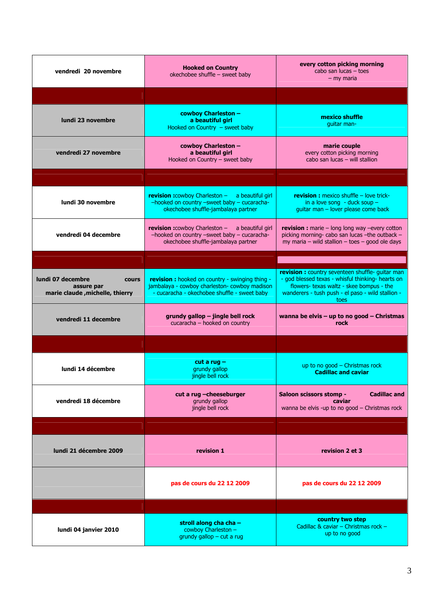| vendredi 20 novembre                                                               | <b>Hooked on Country</b><br>okechobee shuffle - sweet baby                                                                                             | every cotton picking morning<br>cabo san lucas $-$ toes<br>$-$ my maria                                                                                                                                        |
|------------------------------------------------------------------------------------|--------------------------------------------------------------------------------------------------------------------------------------------------------|----------------------------------------------------------------------------------------------------------------------------------------------------------------------------------------------------------------|
|                                                                                    |                                                                                                                                                        |                                                                                                                                                                                                                |
| lundi 23 novembre                                                                  | cowboy Charleston -<br>a beautiful girl<br>Hooked on Country - sweet baby                                                                              | mexico shuffle<br>guitar man-                                                                                                                                                                                  |
| vendredi 27 novembre                                                               | cowboy Charleston -<br>a beautiful girl<br>Hooked on Country - sweet baby                                                                              | marie couple<br>every cotton picking morning<br>cabo san lucas - will stallion                                                                                                                                 |
|                                                                                    |                                                                                                                                                        |                                                                                                                                                                                                                |
| lundi 30 novembre                                                                  | revision :cowboy Charleston - a beautiful girl<br>-hooked on country -sweet baby - cucaracha-<br>okechobee shuffle-jambalaya partner                   | <b>revision:</b> mexico shuffle - love trick-<br>in a love song - duck soup $-$<br>guitar man - lover please come back                                                                                         |
| vendredi 04 decembre                                                               | revision :cowboy Charleston - a beautiful girl<br>-hooked on country -sweet baby - cucaracha-<br>okechobee shuffle-jambalaya partner                   | <b>revision :</b> marie $-$ long long way $-$ every cotton<br>picking morning- cabo san lucas -the outback -<br>$my$ maria – wild stallion – toes – good ole days                                              |
|                                                                                    |                                                                                                                                                        |                                                                                                                                                                                                                |
| lundi 07 decembre<br><b>cours</b><br>assure par<br>marie claude, michelle, thierry | <b>revision:</b> hooked on country - swinging thing -<br>jambalaya - cowboy charleston- cowboy madison<br>- cucaracha - okechobee shuffle - sweet baby | revision : country seventeen shuffle- guitar man<br>- god blessed texas - whisful thinking- hearts on<br>flowers- texas waltz - skee bompus - the<br>wanderers - tush push - el paso - wild stallion -<br>toes |
| vendredi 11 decembre                                                               | grundy gallop - jingle bell rock<br>cucaracha - hooked on country                                                                                      | wanna be elvis $-$ up to no good $-$ Christmas<br>rock                                                                                                                                                         |
|                                                                                    |                                                                                                                                                        |                                                                                                                                                                                                                |
| lundi 14 décembre                                                                  | $cut a rug -$                                                                                                                                          |                                                                                                                                                                                                                |
|                                                                                    | grundy gallop<br>jingle bell rock                                                                                                                      | up to no good $-$ Christmas rock<br><b>Cadillac and caviar</b>                                                                                                                                                 |
| vendredi 18 décembre                                                               | cut a rug -cheeseburger<br>grundy gallop<br>jingle bell rock                                                                                           | <b>Cadillac and</b><br>Saloon scissors stomp -<br>caviar<br>wanna be elvis -up to no good - Christmas rock                                                                                                     |
|                                                                                    |                                                                                                                                                        |                                                                                                                                                                                                                |
| lundi 21 décembre 2009                                                             | revision 1                                                                                                                                             | revision 2 et 3                                                                                                                                                                                                |
|                                                                                    | pas de cours du 22 12 2009                                                                                                                             | pas de cours du 22 12 2009                                                                                                                                                                                     |
|                                                                                    |                                                                                                                                                        |                                                                                                                                                                                                                |